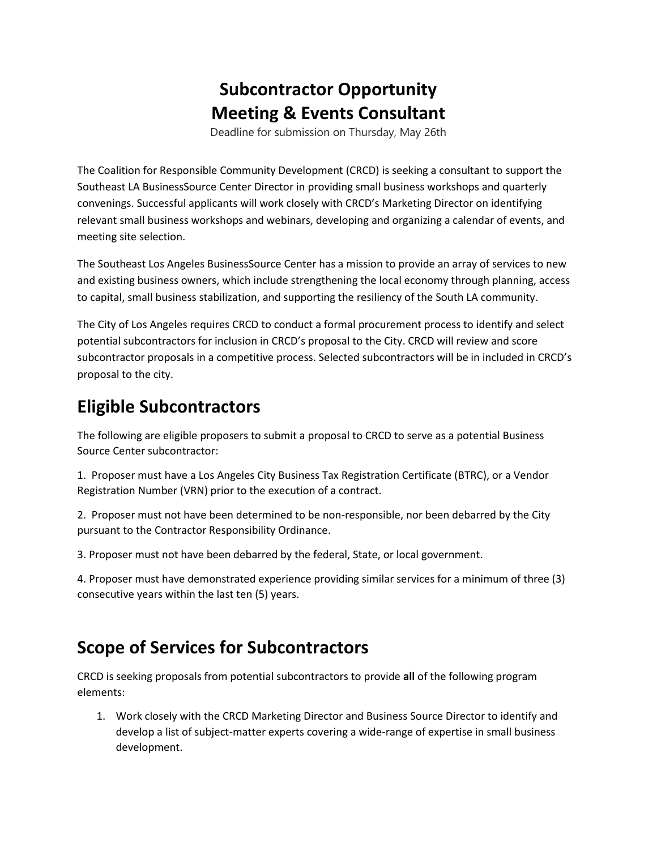## **Subcontractor Opportunity Meeting & Events Consultant**

Deadline for submission on Thursday, May 26th

The Coalition for Responsible Community Development (CRCD) is seeking a consultant to support the Southeast LA BusinessSource Center Director in providing small business workshops and quarterly convenings. Successful applicants will work closely with CRCD's Marketing Director on identifying relevant small business workshops and webinars, developing and organizing a calendar of events, and meeting site selection.

The Southeast Los Angeles BusinessSource Center has a mission to provide an array of services to new and existing business owners, which include strengthening the local economy through planning, access to capital, small business stabilization, and supporting the resiliency of the South LA community.

The City of Los Angeles requires CRCD to conduct a formal procurement process to identify and select potential subcontractors for inclusion in CRCD's proposal to the City. CRCD will review and score subcontractor proposals in a competitive process. Selected subcontractors will be in included in CRCD's proposal to the city.

## **Eligible Subcontractors**

The following are eligible proposers to submit a proposal to CRCD to serve as a potential Business Source Center subcontractor:

1. Proposer must have a Los Angeles City Business Tax Registration Certificate (BTRC), or a Vendor Registration Number (VRN) prior to the execution of a contract.

2. Proposer must not have been determined to be non-responsible, nor been debarred by the City pursuant to the Contractor Responsibility Ordinance.

3. Proposer must not have been debarred by the federal, State, or local government.

4. Proposer must have demonstrated experience providing similar services for a minimum of three (3) consecutive years within the last ten (5) years.

## **Scope of Services for Subcontractors**

CRCD is seeking proposals from potential subcontractors to provide **all** of the following program elements:

1. Work closely with the CRCD Marketing Director and Business Source Director to identify and develop a list of subject-matter experts covering a wide-range of expertise in small business development.